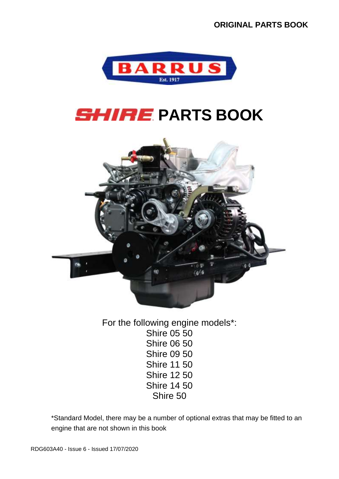

# *SHIRE* PARTS BOOK



For the following engine models\*: Shire 05 50 Shire 06 50 Shire 09 50 Shire 11 50 Shire 12 50 Shire 14 50 Shire 50

\*Standard Model, there may be a number of optional extras that may be fitted to an engine that are not shown in this book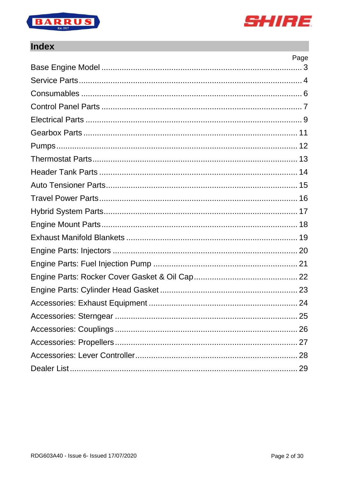



#### **Index**

| Page |
|------|
|      |
|      |
|      |
|      |
|      |
|      |
|      |
|      |
|      |
|      |
|      |
|      |
|      |
|      |
|      |
|      |
|      |
|      |
|      |
|      |
|      |
|      |
|      |
|      |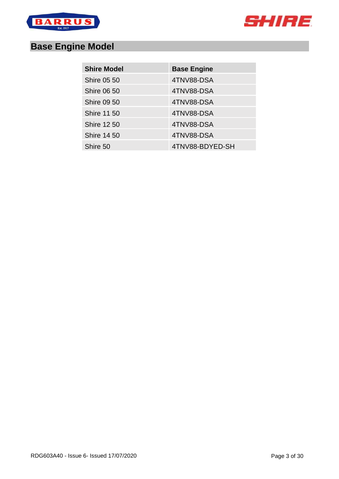



# <span id="page-2-0"></span>**Base Engine Model**

| <b>Shire Model</b> | <b>Base Engine</b> |
|--------------------|--------------------|
| <b>Shire 05 50</b> | 4TNV88-DSA         |
| <b>Shire 06 50</b> | 4TNV88-DSA         |
| <b>Shire 09 50</b> | 4TNV88-DSA         |
| <b>Shire 11 50</b> | 4TNV88-DSA         |
| <b>Shire 12 50</b> | 4TNV88-DSA         |
| <b>Shire 14 50</b> | 4TNV88-DSA         |
| Shire 50           | 4TNV88-BDYED-SH    |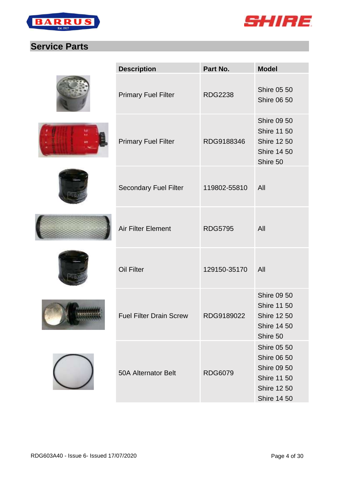



## <span id="page-3-0"></span>**Service Parts**

| <b>Description</b>             | Part No.       | <b>Model</b>                                                                                                                     |
|--------------------------------|----------------|----------------------------------------------------------------------------------------------------------------------------------|
| <b>Primary Fuel Filter</b>     | <b>RDG2238</b> | <b>Shire 05 50</b><br><b>Shire 06 50</b>                                                                                         |
| <b>Primary Fuel Filter</b>     | RDG9188346     | <b>Shire 09 50</b><br><b>Shire 11 50</b><br><b>Shire 12 50</b><br><b>Shire 14 50</b><br>Shire 50                                 |
| <b>Secondary Fuel Filter</b>   | 119802-55810   | All                                                                                                                              |
| <b>Air Filter Element</b>      | <b>RDG5795</b> | All                                                                                                                              |
| Oil Filter                     | 129150-35170   | All                                                                                                                              |
| <b>Fuel Filter Drain Screw</b> | RDG9189022     | <b>Shire 09 50</b><br><b>Shire 11 50</b><br><b>Shire 12 50</b><br><b>Shire 14 50</b><br>Shire 50                                 |
| <b>50A Alternator Belt</b>     | <b>RDG6079</b> | <b>Shire 05 50</b><br><b>Shire 06 50</b><br><b>Shire 09 50</b><br><b>Shire 11 50</b><br><b>Shire 12 50</b><br><b>Shire 14 50</b> |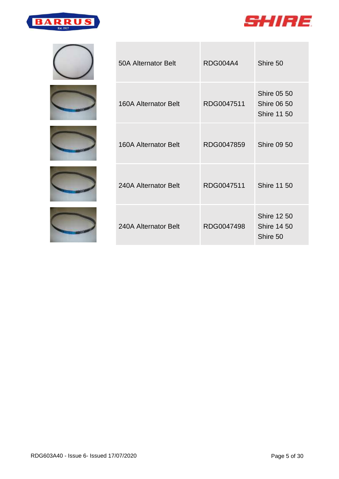|  |           | RRUS |  |
|--|-----------|------|--|
|  | Est. 1917 |      |  |

| <b>50A Alternator Belt</b> | RDG004A4   | Shire 50                                                       |
|----------------------------|------------|----------------------------------------------------------------|
| 160A Alternator Belt       | RDG0047511 | <b>Shire 05 50</b><br><b>Shire 06 50</b><br><b>Shire 11 50</b> |
| 160A Alternator Belt       | RDG0047859 | <b>Shire 09 50</b>                                             |
| 240A Alternator Belt       | RDG0047511 | <b>Shire 11 50</b>                                             |
| 240A Alternator Belt       | RDG0047498 | <b>Shire 12 50</b><br><b>Shire 14 50</b><br>Shire 50           |



B









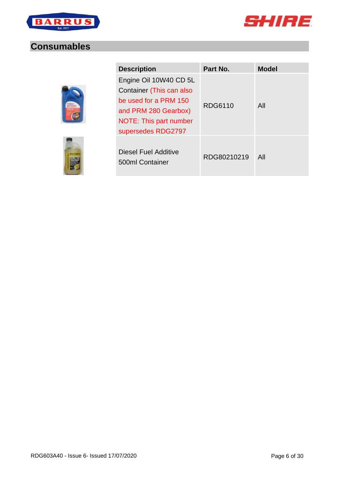



#### <span id="page-5-0"></span>**Consumables**



| <b>Description</b>                                                                                                                                  | Part No.    | <b>Model</b> |
|-----------------------------------------------------------------------------------------------------------------------------------------------------|-------------|--------------|
| Engine Oil 10W40 CD 5L<br>Container (This can also<br>be used for a PRM 150<br>and PRM 280 Gearbox)<br>NOTE: This part number<br>supersedes RDG2797 | RDG6110     | All          |
| Diesel Fuel Additive<br>500ml Container                                                                                                             | RDG80210219 | All          |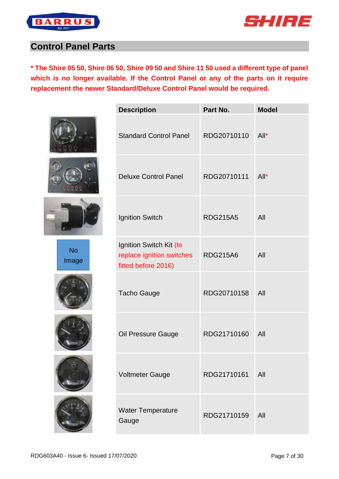



## <span id="page-6-0"></span>**Control Panel Parts**

**\* The Shire 05 50, Shire 06 50, Shire 09 50 and Shire 11 50 used a different type of panel which is no longer available. If the Control Panel or any of the parts on it require replacement the newer Standard/Deluxe Control Panel would be required.**

|    | <b>Description</b>                                                          | Part No.         | <b>Model</b> |
|----|-----------------------------------------------------------------------------|------------------|--------------|
| 3W | <b>Standard Control Panel</b>                                               | RDG20710110 All* |              |
|    | <b>Deluxe Control Panel</b>                                                 | RDG20710111      | $All^*$      |
|    | <b>Ignition Switch</b>                                                      | <b>RDG215A5</b>  | All          |
|    | Ignition Switch Kit (to<br>replace ignition switches<br>fitted before 2016) | <b>RDG215A6</b>  | All          |
|    | <b>Tacho Gauge</b>                                                          | RDG20710158      | All          |
|    | Oil Pressure Gauge                                                          | RDG21710160      | All          |
|    | <b>Voltmeter Gauge</b>                                                      | RDG21710161      | AII          |
|    | <b>Water Temperature</b><br>Gauge                                           | RDG21710159      | All          |







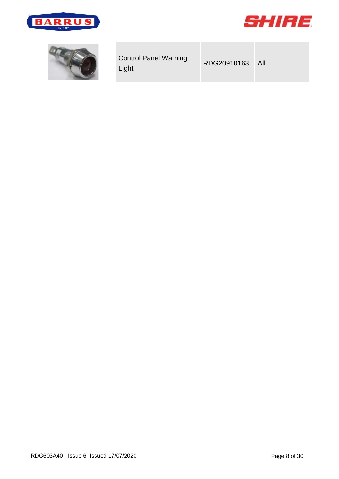



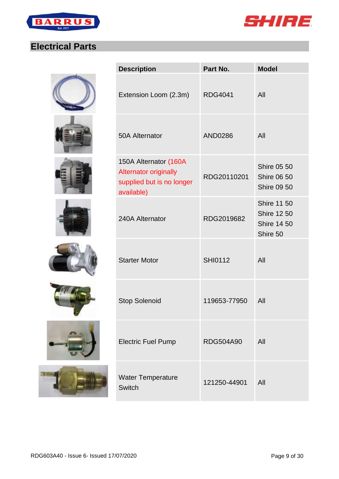



# <span id="page-8-0"></span>**Electrical Parts**

















| <b>Description</b>                                                                               | Part No.         | <b>Model</b>                                                               |
|--------------------------------------------------------------------------------------------------|------------------|----------------------------------------------------------------------------|
| Extension Loom (2.3m)                                                                            | <b>RDG4041</b>   | All                                                                        |
| <b>50A Alternator</b>                                                                            | <b>AND0286</b>   | All                                                                        |
| 150A Alternator (160A<br><b>Alternator originally</b><br>supplied but is no longer<br>available) | RDG20110201      | <b>Shire 05 50</b><br><b>Shire 06 50</b><br><b>Shire 09 50</b>             |
| 240A Alternator                                                                                  | RDG2019682       | <b>Shire 11 50</b><br><b>Shire 12 50</b><br><b>Shire 14 50</b><br>Shire 50 |
| <b>Starter Motor</b>                                                                             | <b>SHI0112</b>   | All                                                                        |
| <b>Stop Solenoid</b>                                                                             | 119653-77950     | All                                                                        |
| <b>Electric Fuel Pump</b>                                                                        | <b>RDG504A90</b> | All                                                                        |
| <b>Water Temperature</b><br><b>Switch</b>                                                        | 121250-44901     | All                                                                        |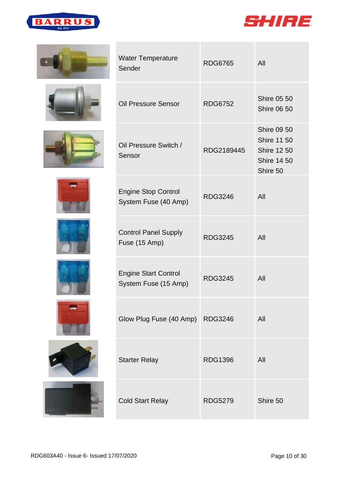



















| <b>Water Temperature</b><br>Sender                  | <b>RDG6765</b> | All                                                                                              |
|-----------------------------------------------------|----------------|--------------------------------------------------------------------------------------------------|
| <b>Oil Pressure Sensor</b>                          | <b>RDG6752</b> | <b>Shire 05 50</b><br><b>Shire 06 50</b>                                                         |
| Oil Pressure Switch /<br>Sensor                     | RDG2189445     | <b>Shire 09 50</b><br><b>Shire 11 50</b><br><b>Shire 12 50</b><br><b>Shire 14 50</b><br>Shire 50 |
| <b>Engine Stop Control</b><br>System Fuse (40 Amp)  | <b>RDG3246</b> | All                                                                                              |
| <b>Control Panel Supply</b><br>Fuse (15 Amp)        | <b>RDG3245</b> | All                                                                                              |
| <b>Engine Start Control</b><br>System Fuse (15 Amp) | <b>RDG3245</b> | All                                                                                              |
| Glow Plug Fuse (40 Amp) RDG3246                     |                | All                                                                                              |
| <b>Starter Relay</b>                                | <b>RDG1396</b> | All                                                                                              |
| <b>Cold Start Relay</b>                             | <b>RDG5279</b> | Shire 50                                                                                         |

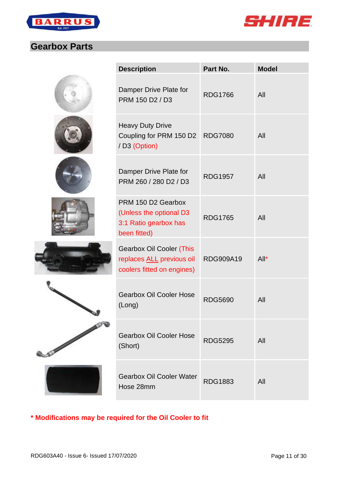



#### <span id="page-10-0"></span>**Gearbox Parts**

|                | <b>Description</b>                                                                         | Part No.       | <b>Model</b> |
|----------------|--------------------------------------------------------------------------------------------|----------------|--------------|
|                | Damper Drive Plate for<br>PRM 150 D2 / D3                                                  | <b>RDG1766</b> | All          |
|                | <b>Heavy Duty Drive</b><br>Coupling for PRM 150 D2 RDG7080<br>/D3 (Option)                 |                | All          |
|                | Damper Drive Plate for<br>PRM 260 / 280 D2 / D3                                            | <b>RDG1957</b> | All          |
|                | PRM 150 D2 Gearbox<br>(Unless the optional D3<br>3:1 Ratio gearbox has<br>been fitted)     | <b>RDG1765</b> | All          |
|                | <b>Gearbox Oil Cooler (This</b><br>replaces ALL previous oil<br>coolers fitted on engines) | RDG909A19      | $All^*$      |
|                | <b>Gearbox Oil Cooler Hose</b><br>(Long)                                                   | <b>RDG5690</b> | All          |
| <b>COMMENT</b> | <b>Gearbox Oil Cooler Hose</b><br>(Short)                                                  | <b>RDG5295</b> | All          |
|                | <b>Gearbox Oil Cooler Water</b><br>Hose 28mm                                               | <b>RDG1883</b> | All          |

**\* Modifications may be required for the Oil Cooler to fit**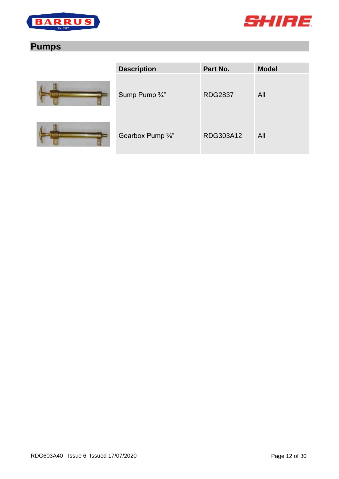



# <span id="page-11-0"></span>**Pumps**





| <b>Description</b>        | Part No.       | <b>Model</b> |
|---------------------------|----------------|--------------|
| Sump Pump $\frac{3}{4}$ " | <b>RDG2837</b> | All          |
| Gearbox Pump 3/4"         | RDG303A12      | All          |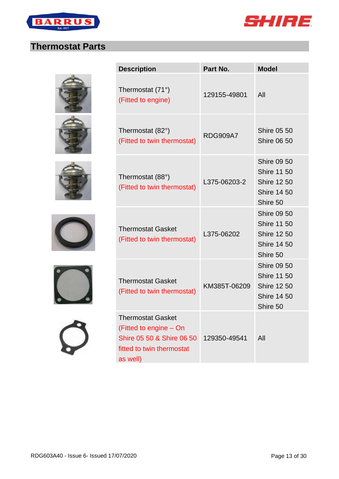



#### <span id="page-12-0"></span>**Thermostat Parts**













| <b>Description</b>                                                                                                       | Part No.        | <b>Model</b>                                                                                     |
|--------------------------------------------------------------------------------------------------------------------------|-----------------|--------------------------------------------------------------------------------------------------|
| Thermostat (71°)<br>(Fitted to engine)                                                                                   | 129155-49801    | All                                                                                              |
| Thermostat (82°)<br>(Fitted to twin thermostat)                                                                          | <b>RDG909A7</b> | <b>Shire 05 50</b><br><b>Shire 06 50</b>                                                         |
| Thermostat (88°)<br>(Fitted to twin thermostat)                                                                          | L375-06203-2    | <b>Shire 09 50</b><br><b>Shire 11 50</b><br><b>Shire 12 50</b><br><b>Shire 14 50</b><br>Shire 50 |
| <b>Thermostat Gasket</b><br>(Fitted to twin thermostat)                                                                  | L375-06202      | <b>Shire 09 50</b><br><b>Shire 11 50</b><br><b>Shire 12 50</b><br><b>Shire 14 50</b><br>Shire 50 |
| <b>Thermostat Gasket</b><br>(Fitted to twin thermostat)                                                                  | KM385T-06209    | <b>Shire 09 50</b><br><b>Shire 11 50</b><br><b>Shire 12 50</b><br><b>Shire 14 50</b><br>Shire 50 |
| <b>Thermostat Gasket</b><br>(Fitted to engine – On<br>Shire 05 50 & Shire 06 50<br>fitted to twin thermostat<br>as well) | 129350-49541    | All                                                                                              |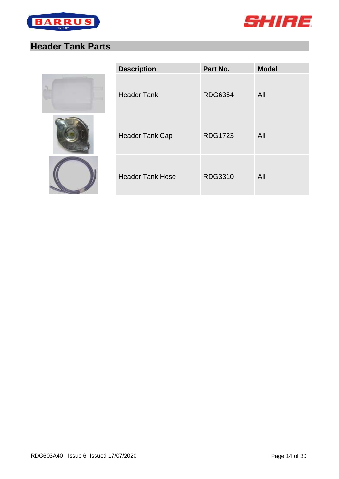



# <span id="page-13-0"></span>**Header Tank Parts**







| <b>Description</b>      | Part No.       | <b>Model</b> |
|-------------------------|----------------|--------------|
| <b>Header Tank</b>      | <b>RDG6364</b> | All          |
| <b>Header Tank Cap</b>  | <b>RDG1723</b> | All          |
| <b>Header Tank Hose</b> | <b>RDG3310</b> | All          |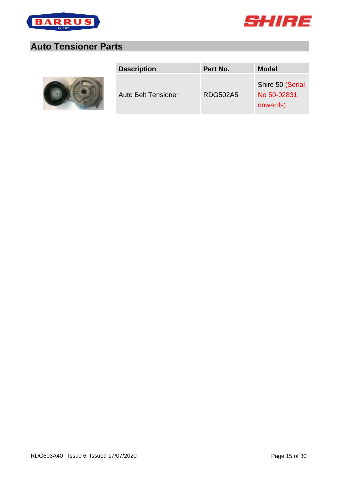



## <span id="page-14-0"></span>**Auto Tensioner Parts**



| <b>Description</b>         | Part No.        | <b>Model</b>                                |
|----------------------------|-----------------|---------------------------------------------|
| <b>Auto Belt Tensioner</b> | <b>RDG502A5</b> | Shire 50 (Serial<br>No 50-02831<br>onwards) |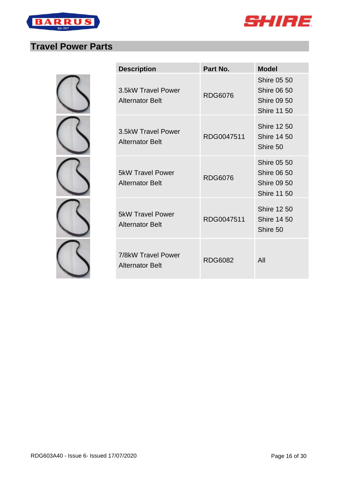

**COL** 



## <span id="page-15-0"></span>**Travel Power Parts**

| <b>Description</b>                                | Part No.       | <b>Model</b>                                                                         |
|---------------------------------------------------|----------------|--------------------------------------------------------------------------------------|
| 3.5kW Travel Power<br><b>Alternator Belt</b>      | <b>RDG6076</b> | <b>Shire 05 50</b><br><b>Shire 06 50</b><br><b>Shire 09 50</b><br><b>Shire 11 50</b> |
| 3.5kW Travel Power<br><b>Alternator Belt</b>      | RDG0047511     | <b>Shire 12 50</b><br><b>Shire 14 50</b><br>Shire 50                                 |
| <b>5kW Travel Power</b><br><b>Alternator Belt</b> | <b>RDG6076</b> | <b>Shire 05 50</b><br><b>Shire 06 50</b><br><b>Shire 09 50</b><br><b>Shire 11 50</b> |
| <b>5kW Travel Power</b><br><b>Alternator Belt</b> | RDG0047511     | <b>Shire 12 50</b><br><b>Shire 14 50</b><br>Shire 50                                 |
| 7/8kW Travel Power<br><b>Alternator Belt</b>      | <b>RDG6082</b> | All                                                                                  |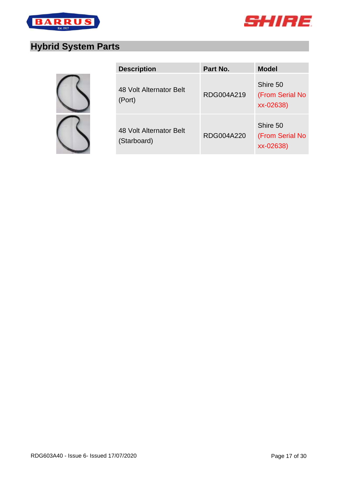



# <span id="page-16-0"></span>**Hybrid System Parts**

| <b>Description</b>                     | Part No.   | <b>Model</b>                             |  |
|----------------------------------------|------------|------------------------------------------|--|
| 48 Volt Alternator Belt<br>(Port)      | RDG004A219 | Shire 50<br>(From Serial No<br>xx-02638) |  |
| 48 Volt Alternator Belt<br>(Starboard) | RDG004A220 | Shire 50<br>(From Serial No<br>xx-02638) |  |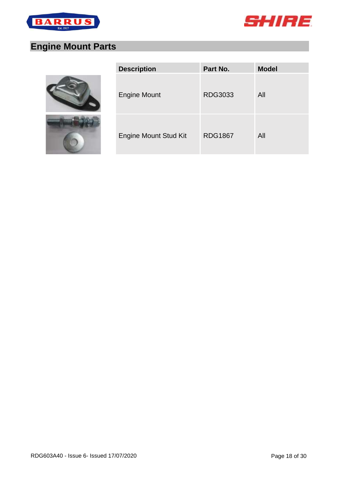



# <span id="page-17-0"></span>**Engine Mount Parts**





| <b>Description</b>           | Part No.       | <b>Model</b> |
|------------------------------|----------------|--------------|
| <b>Engine Mount</b>          | RDG3033        | All          |
| <b>Engine Mount Stud Kit</b> | <b>RDG1867</b> | All          |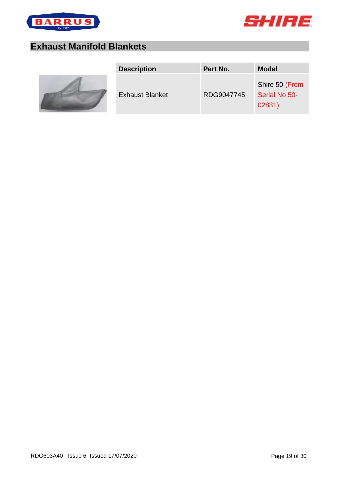



# <span id="page-18-0"></span>**Exhaust Manifold Blankets**



| <b>Description</b>     | Part No.   | <b>Model</b>                              |
|------------------------|------------|-------------------------------------------|
| <b>Exhaust Blanket</b> | RDG9047745 | Shire 50 (From<br>Serial No 50-<br>02831) |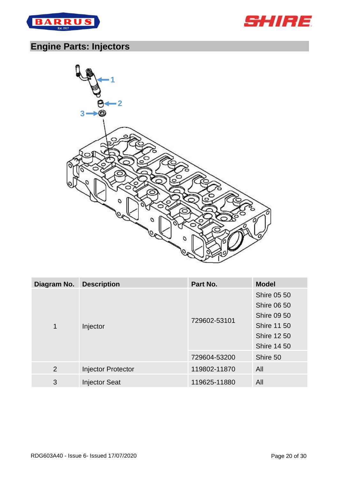



# <span id="page-19-0"></span>**Engine Parts: Injectors**



| Diagram No. | <b>Description</b>        | Part No.     | <b>Model</b>                                                                                                                     |
|-------------|---------------------------|--------------|----------------------------------------------------------------------------------------------------------------------------------|
| 1           | Injector                  | 729602-53101 | <b>Shire 05 50</b><br><b>Shire 06 50</b><br><b>Shire 09 50</b><br><b>Shire 11 50</b><br><b>Shire 12 50</b><br><b>Shire 14 50</b> |
|             |                           | 729604-53200 | Shire 50                                                                                                                         |
| 2           | <b>Injector Protector</b> | 119802-11870 | All                                                                                                                              |
| 3           | <b>Injector Seat</b>      | 119625-11880 | All                                                                                                                              |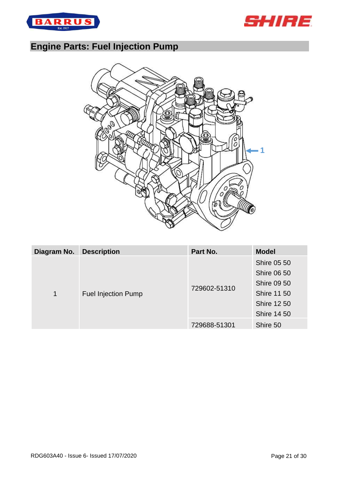



# <span id="page-20-0"></span>**Engine Parts: Fuel Injection Pump**



| <b>Shire 05 50</b><br><b>Shire 06 50</b><br><b>Shire 09 50</b><br>729602-51310<br><b>Shire 11 50</b><br>1<br><b>Fuel Injection Pump</b> | Diagram No. | <b>Description</b> | Part No. | <b>Model</b>       |
|-----------------------------------------------------------------------------------------------------------------------------------------|-------------|--------------------|----------|--------------------|
|                                                                                                                                         |             |                    |          |                    |
|                                                                                                                                         |             |                    |          |                    |
|                                                                                                                                         |             |                    |          |                    |
|                                                                                                                                         |             |                    |          |                    |
|                                                                                                                                         |             |                    |          | <b>Shire 12 50</b> |
| <b>Shire 14 50</b>                                                                                                                      |             |                    |          |                    |
| Shire 50<br>729688-51301                                                                                                                |             |                    |          |                    |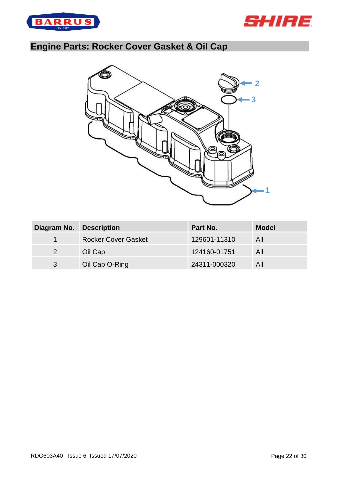



# <span id="page-21-0"></span>**Engine Parts: Rocker Cover Gasket & Oil Cap**



| Diagram No.          | <b>Description</b>         | Part No.     | <b>Model</b> |
|----------------------|----------------------------|--------------|--------------|
| $\blacktriangleleft$ | <b>Rocker Cover Gasket</b> | 129601-11310 | All          |
| 2                    | Oil Cap                    | 124160-01751 | All          |
| 3                    | Oil Cap O-Ring             | 24311-000320 | All          |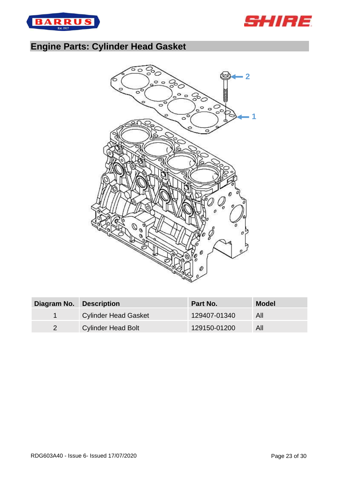



# <span id="page-22-0"></span>**Engine Parts: Cylinder Head Gasket**



| Diagram No. Description |                             | <b>Part No.</b> | <b>Model</b> |
|-------------------------|-----------------------------|-----------------|--------------|
|                         | <b>Cylinder Head Gasket</b> | 129407-01340    | All          |
|                         | <b>Cylinder Head Bolt</b>   | 129150-01200    | All          |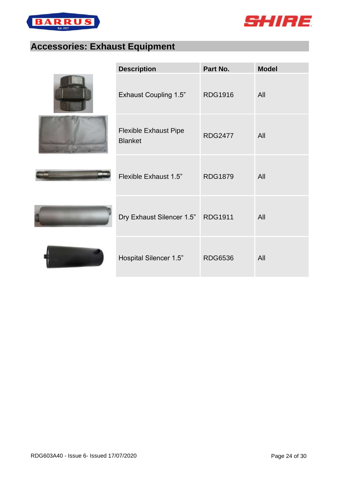



# <span id="page-23-0"></span>**Accessories: Exhaust Equipment**

| <b>Description</b>                             | Part No.       | <b>Model</b> |
|------------------------------------------------|----------------|--------------|
| <b>Exhaust Coupling 1.5"</b>                   | <b>RDG1916</b> | All          |
| <b>Flexible Exhaust Pipe</b><br><b>Blanket</b> | <b>RDG2477</b> | All          |
| Flexible Exhaust 1.5"                          | <b>RDG1879</b> | All          |
| Dry Exhaust Silencer 1.5" RDG1911              |                | All          |
| Hospital Silencer 1.5"                         | <b>RDG6536</b> | All          |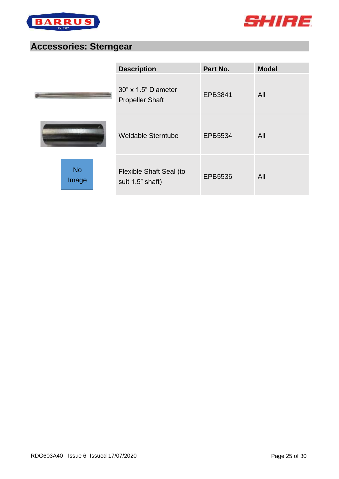



## <span id="page-24-0"></span>**Accessories: Sterngear**

|                    | <b>Description</b>                            | Part No. | <b>Model</b> |
|--------------------|-----------------------------------------------|----------|--------------|
|                    | 30" x 1.5" Diameter<br><b>Propeller Shaft</b> | EPB3841  | All          |
|                    | <b>Weldable Sterntube</b>                     | EPB5534  | All          |
| <b>No</b><br>Image | Flexible Shaft Seal (to<br>suit 1.5" shaft)   | EPB5536  | All          |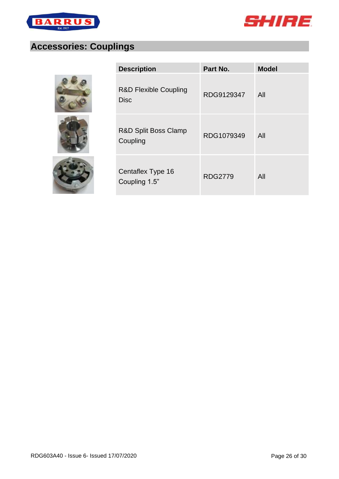



# <span id="page-25-0"></span>**Accessories: Couplings**







| <b>Description</b>                              | Part No.       | <b>Model</b> |
|-------------------------------------------------|----------------|--------------|
| <b>R&amp;D Flexible Coupling</b><br><b>Disc</b> | RDG9129347     | All          |
| R&D Split Boss Clamp<br>Coupling                | RDG1079349     | All          |
| Centaflex Type 16<br>Coupling 1.5"              | <b>RDG2779</b> | All          |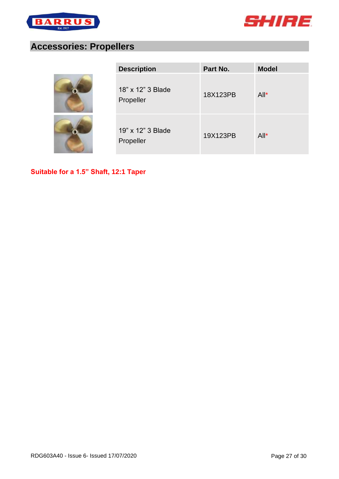



## <span id="page-26-0"></span>**Accessories: Propellers**

| <b>Description</b>             | Part No. | <b>Model</b> |
|--------------------------------|----------|--------------|
| 18" x 12" 3 Blade<br>Propeller | 18X123PB | $All^*$      |
| 19" x 12" 3 Blade<br>Propeller | 19X123PB | $All^*$      |

**Suitable for a 1.5" Shaft, 12:1 Taper**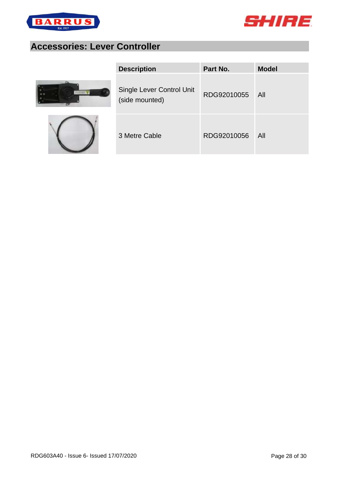



# <span id="page-27-0"></span>**Accessories: Lever Controller**





| <b>Description</b>                          | Part No.    | <b>Model</b> |
|---------------------------------------------|-------------|--------------|
| Single Lever Control Unit<br>(side mounted) | RDG92010055 | - All        |
| 3 Metre Cable                               | RDG92010056 | All          |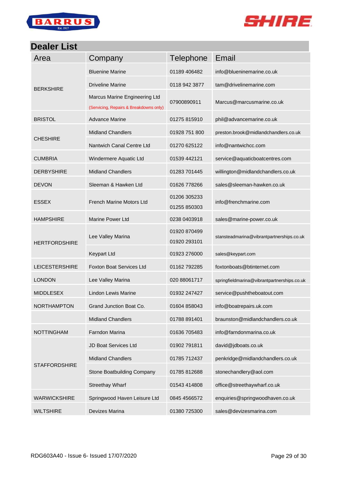



## <span id="page-28-0"></span>**Dealer List**

| Area                  | Company                                                                 | <b>Telephone</b>             | Email                                       |
|-----------------------|-------------------------------------------------------------------------|------------------------------|---------------------------------------------|
|                       | <b>Bluenine Marine</b>                                                  | 01189 406482                 | info@blueninemarine.co.uk                   |
| <b>BERKSHIRE</b>      | <b>Driveline Marine</b>                                                 | 0118 942 3877                | tam@drivelinemarine.com                     |
|                       | Marcus Marine Engineering Ltd<br>(Servicing, Repairs & Breakdowns only) | 07900890911                  | Marcus@marcusmarine.co.uk                   |
| <b>BRISTOL</b>        | <b>Advance Marine</b>                                                   | 01275 815910                 | phil@advancemarine.co.uk                    |
|                       | <b>Midland Chandlers</b>                                                | 01928 751 800                | preston.brook@midlandchandlers.co.uk        |
| <b>CHESHIRE</b>       | Nantwich Canal Centre Ltd                                               | 01270 625122                 | info@nantwichcc.com                         |
| <b>CUMBRIA</b>        | Windermere Aquatic Ltd                                                  | 01539 442121                 | service@aquaticboatcentres.com              |
| <b>DERBYSHIRE</b>     | <b>Midland Chandlers</b>                                                | 01283 701445                 | willington@midlandchandlers.co.uk           |
| <b>DEVON</b>          | Sleeman & Hawken Ltd                                                    | 01626 778266                 | sales@sleeman-hawken.co.uk                  |
| <b>ESSEX</b>          | <b>French Marine Motors Ltd</b>                                         | 01206 305233<br>01255 850303 | info@frenchmarine.com                       |
| <b>HAMPSHIRE</b>      | <b>Marine Power Ltd</b>                                                 | 0238 0403918                 | sales@marine-power.co.uk                    |
| <b>HERTFORDSHIRE</b>  | Lee Valley Marina                                                       | 01920 870499<br>01920 293101 | stansteadmarina@vibrantpartnerships.co.uk   |
|                       | <b>Keypart Ltd</b>                                                      | 01923 276000                 | sales@keypart.com                           |
| <b>LEICESTERSHIRE</b> | <b>Foxton Boat Services Ltd</b>                                         | 01162 792285                 | foxtonboats@btinternet.com                  |
| <b>LONDON</b>         | Lee Valley Marina                                                       | 020 88061717                 | springfieldmarina@vibrantpartnerships.co.uk |
| <b>MIDDLESEX</b>      | <b>Lindon Lewis Marine</b>                                              | 01932 247427                 | service@pushtheboatout.com                  |
| <b>NORTHAMPTON</b>    | Grand Junction Boat Co.                                                 | 01604 858043                 | info@boatrepairs.uk.com                     |
|                       | <b>Midland Chandlers</b>                                                | 01788 891401                 | braunston@midlandchandlers.co.uk            |
| <b>NOTTINGHAM</b>     | Farndon Marina                                                          | 01636 705483                 | info@farndonmarina.co.uk                    |
|                       | JD Boat Services Ltd                                                    | 01902 791811                 | david@jdboats.co.uk                         |
| <b>STAFFORDSHIRE</b>  | <b>Midland Chandlers</b>                                                | 01785 712437                 | penkridge@midlandchandlers.co.uk            |
|                       | Stone Boatbuilding Company                                              | 01785 812688                 | stonechandlery@aol.com                      |
|                       | <b>Streethay Wharf</b>                                                  | 01543 414808                 | office@streethaywharf.co.uk                 |
| <b>WARWICKSHIRE</b>   | Springwood Haven Leisure Ltd                                            | 0845 4566572                 | enquiries@springwoodhaven.co.uk             |
| <b>WILTSHIRE</b>      | Devizes Marina                                                          | 01380 725300                 | sales@devizesmarina.com                     |